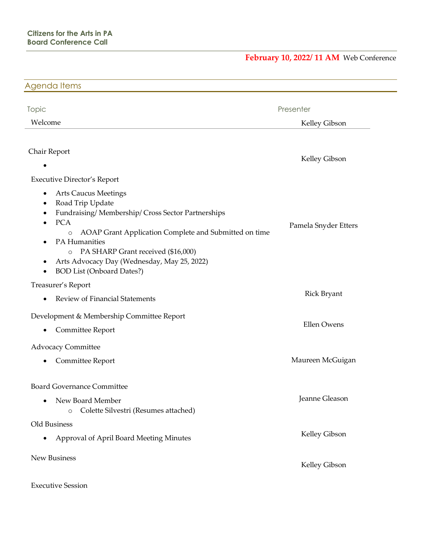## **February 10, 2022/ 11 AM** Web Conference

| Agenda Items                                                                                                                                                                                                                                                                                                                                                                                                                                                        |                            |
|---------------------------------------------------------------------------------------------------------------------------------------------------------------------------------------------------------------------------------------------------------------------------------------------------------------------------------------------------------------------------------------------------------------------------------------------------------------------|----------------------------|
| <b>Topic</b><br>Welcome                                                                                                                                                                                                                                                                                                                                                                                                                                             | Presenter<br>Kelley Gibson |
| Chair Report<br>٠                                                                                                                                                                                                                                                                                                                                                                                                                                                   | Kelley Gibson              |
| <b>Executive Director's Report</b><br><b>Arts Caucus Meetings</b><br>$\bullet$<br>Road Trip Update<br>$\bullet$<br>Fundraising/Membership/Cross Sector Partnerships<br>٠<br><b>PCA</b><br>$\bullet$<br>AOAP Grant Application Complete and Submitted on time<br>$\circ$<br>PA Humanities<br>$\bullet$<br>PA SHARP Grant received (\$16,000)<br>$\circ$<br>Arts Advocacy Day (Wednesday, May 25, 2022)<br>$\bullet$<br><b>BOD List (Onboard Dates?)</b><br>$\bullet$ | Pamela Snyder Etters       |
| Treasurer's Report<br>Review of Financial Statements<br>$\bullet$                                                                                                                                                                                                                                                                                                                                                                                                   | <b>Rick Bryant</b>         |
| Development & Membership Committee Report<br>Committee Report<br>$\bullet$                                                                                                                                                                                                                                                                                                                                                                                          | <b>Ellen Owens</b>         |
| <b>Advocacy Committee</b><br>Committee Report<br>$\bullet$                                                                                                                                                                                                                                                                                                                                                                                                          | Maureen McGuigan           |
| <b>Board Governance Committee</b><br>New Board Member<br>$\bullet$<br>Colette Silvestri (Resumes attached)<br>$\circ$                                                                                                                                                                                                                                                                                                                                               | Jeanne Gleason             |
| Old Business<br>Approval of April Board Meeting Minutes<br>$\bullet$                                                                                                                                                                                                                                                                                                                                                                                                | Kelley Gibson              |
| New Business                                                                                                                                                                                                                                                                                                                                                                                                                                                        | Kelley Gibson              |
| <b>Executive Session</b>                                                                                                                                                                                                                                                                                                                                                                                                                                            |                            |